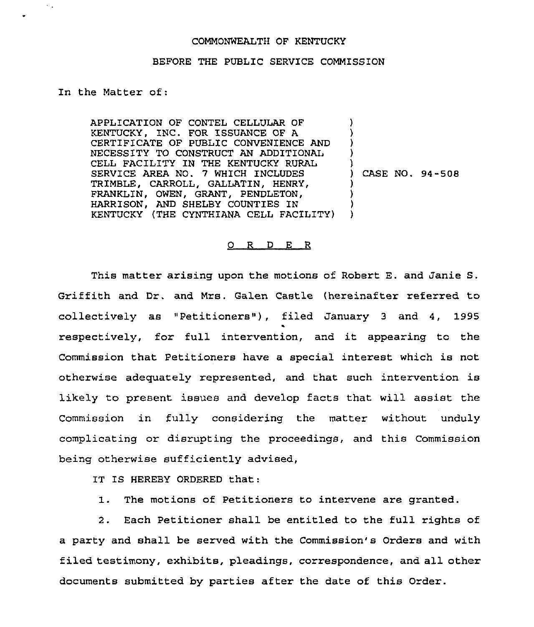## COMMONWEALTH OF KENTUCKY

## BEFORE THE PUBLIC SERVICE COMMISSION

## In the Matter of:

 $\sim$  .

APPLICATION OF CONTEL CELLULAR OF KENTUCKY, INC. FOR ISSUANCE OF A CERTIFICATE OF PUBLIC CONVENIENCE AND NECESSITY TO CONSTRUCT AN ADDITIONAL CELL FACILITY IN THE KENTUCKY RURAL SERVICE AREA NO. 7 WHICH INCLUDES TRIMBLE, CARROLL, GALLATIN, HENRY, FRANKLIN, OWEN, GRANT, PENDLETON, HARRISON, AND SHELBY COUNTIES IN KENTUCKY (THE CYNTHIANA CELL FACILITY) ) ) ) ) ) ) CASE NO. 94-508 ) ) ) )

## 0 R <sup>D</sup> E R

This matter arising upon the motions of Robert E. and Janie S, Griffith and Dr, and Mrs. Galen Castle (hereinafter referred to collectively as "Petitioners"), filed January 3 and 4, 1995 respectively, for full intervention, and it appearing to the Commission that Petitioners have a special interest which is not otherwise adequately represented, and that such intervention is likely to present issues and develop facts that will assist the Commission in fully considering the matter without unduly complicating or disrupting the proceedings, and this Commission being otherwise sufficiently advised,

IT IS HEREBY ORDERED that:

1. The motions of Petitioners to intervene are granted.

2. Each Petitioner shall be entitled to the full rights of a party and shall be served with the Commission's Orders and with filed testimony, exhibits, pleadings, correspondence, and all other documents submitted by parties after the date of this Order.